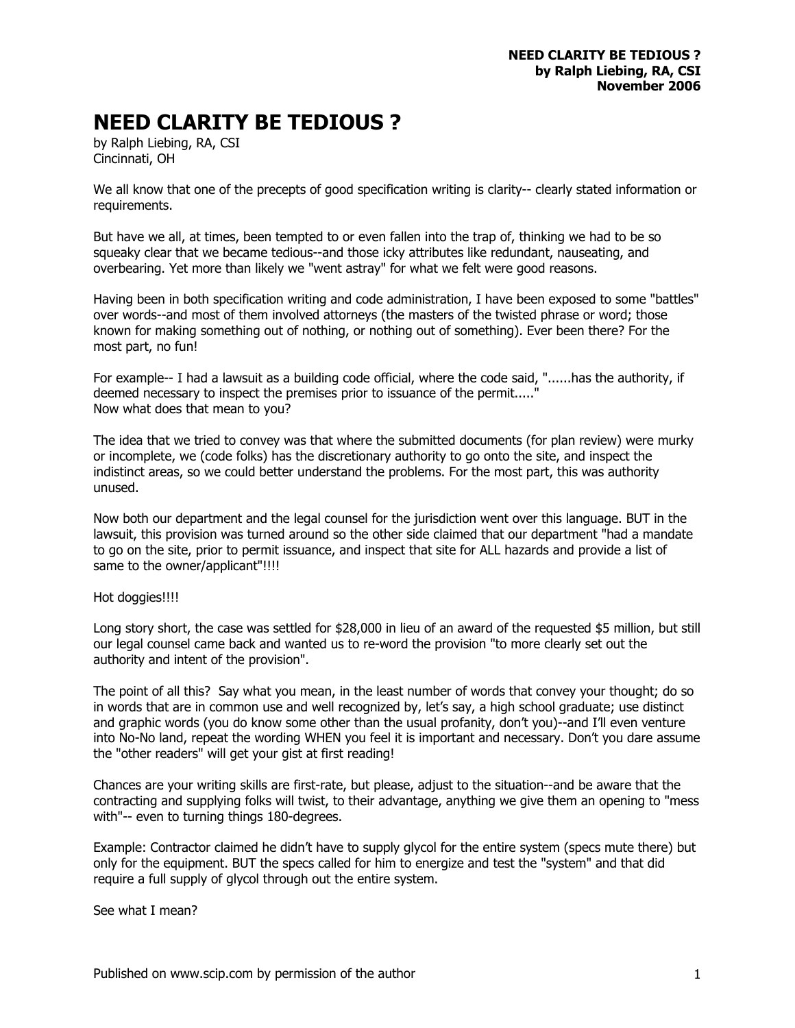## **NEED CLARITY BE TEDIOUS ?**

by Ralph Liebing, RA, CSI Cincinnati, OH

We all know that one of the precepts of good specification writing is clarity-- clearly stated information or requirements.

But have we all, at times, been tempted to or even fallen into the trap of, thinking we had to be so squeaky clear that we became tedious--and those icky attributes like redundant, nauseating, and overbearing. Yet more than likely we "went astray" for what we felt were good reasons.

Having been in both specification writing and code administration, I have been exposed to some "battles" over words--and most of them involved attorneys (the masters of the twisted phrase or word; those known for making something out of nothing, or nothing out of something). Ever been there? For the most part, no fun!

For example-- I had a lawsuit as a building code official, where the code said, "......has the authority, if deemed necessary to inspect the premises prior to issuance of the permit....." Now what does that mean to you?

The idea that we tried to convey was that where the submitted documents (for plan review) were murky or incomplete, we (code folks) has the discretionary authority to go onto the site, and inspect the indistinct areas, so we could better understand the problems. For the most part, this was authority unused.

Now both our department and the legal counsel for the jurisdiction went over this language. BUT in the lawsuit, this provision was turned around so the other side claimed that our department "had a mandate to go on the site, prior to permit issuance, and inspect that site for ALL hazards and provide a list of same to the owner/applicant"!!!!

## Hot doggies!!!!

Long story short, the case was settled for \$28,000 in lieu of an award of the requested \$5 million, but still our legal counsel came back and wanted us to re-word the provision "to more clearly set out the authority and intent of the provision".

The point of all this? Say what you mean, in the least number of words that convey your thought; do so in words that are in common use and well recognized by, let's say, a high school graduate; use distinct and graphic words (you do know some other than the usual profanity, don't you)--and I'll even venture into No-No land, repeat the wording WHEN you feel it is important and necessary. Don't you dare assume the "other readers" will get your gist at first reading!

Chances are your writing skills are first-rate, but please, adjust to the situation--and be aware that the contracting and supplying folks will twist, to their advantage, anything we give them an opening to "mess with"-- even to turning things 180-degrees.

Example: Contractor claimed he didn't have to supply glycol for the entire system (specs mute there) but only for the equipment. BUT the specs called for him to energize and test the "system" and that did require a full supply of glycol through out the entire system.

See what I mean?